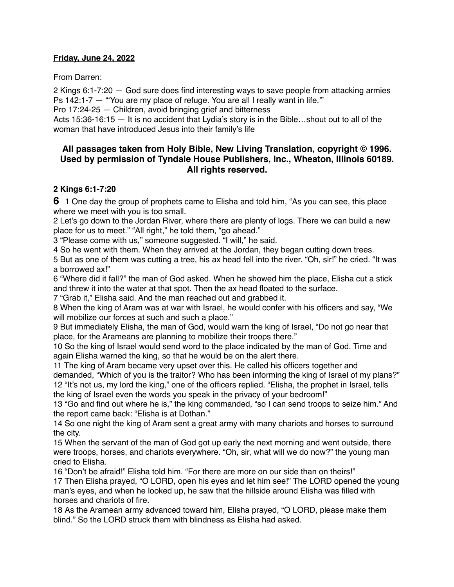#### **Friday, June 24, 2022**

From Darren:

2 Kings 6:1-7:20 — God sure does find interesting ways to save people from attacking armies Ps 142:1-7 - "You are my place of refuge. You are all I really want in life."

Pro 17:24-25 — Children, avoid bringing grief and bitterness

Acts 15:36-16:15 — It is no accident that Lydia's story is in the Bible…shout out to all of the woman that have introduced Jesus into their family's life

# **All passages taken from Holy Bible, [New Living Translation](http://www.newlivingtranslation.com/), copyright © 1996. Used by permission of [Tyndale House Publishers](http://tyndale.com/), Inc., Wheaton, Illinois 60189. All rights reserved.**

### **2 Kings 6:1-7:20**

**6** 1 One day the group of prophets came to Elisha and told him, "As you can see, this place where we meet with you is too small.

2 Let's go down to the Jordan River, where there are plenty of logs. There we can build a new place for us to meet." "All right," he told them, "go ahead."

3 "Please come with us," someone suggested. "I will," he said.

4 So he went with them. When they arrived at the Jordan, they began cutting down trees.

5 But as one of them was cutting a tree, his ax head fell into the river. "Oh, sir!" he cried. "It was a borrowed ax!"

6 "Where did it fall?" the man of God asked. When he showed him the place, Elisha cut a stick and threw it into the water at that spot. Then the ax head floated to the surface.

7 "Grab it," Elisha said. And the man reached out and grabbed it.

8 When the king of Aram was at war with Israel, he would confer with his officers and say, "We will mobilize our forces at such and such a place."

9 But immediately Elisha, the man of God, would warn the king of Israel, "Do not go near that place, for the Arameans are planning to mobilize their troops there."

10 So the king of Israel would send word to the place indicated by the man of God. Time and again Elisha warned the king, so that he would be on the alert there.

11 The king of Aram became very upset over this. He called his officers together and demanded, "Which of you is the traitor? Who has been informing the king of Israel of my plans?" 12 "It's not us, my lord the king," one of the officers replied. "Elisha, the prophet in Israel, tells the king of Israel even the words you speak in the privacy of your bedroom!"

13 "Go and find out where he is," the king commanded, "so I can send troops to seize him." And the report came back: "Elisha is at Dothan."

14 So one night the king of Aram sent a great army with many chariots and horses to surround the city.

15 When the servant of the man of God got up early the next morning and went outside, there were troops, horses, and chariots everywhere. "Oh, sir, what will we do now?" the young man cried to Elisha.

16 "Don't be afraid!" Elisha told him. "For there are more on our side than on theirs!"

17 Then Elisha prayed, "O LORD, open his eyes and let him see!" The LORD opened the young man's eyes, and when he looked up, he saw that the hillside around Elisha was filled with horses and chariots of fire.

18 As the Aramean army advanced toward him, Elisha prayed, "O LORD, please make them blind." So the LORD struck them with blindness as Elisha had asked.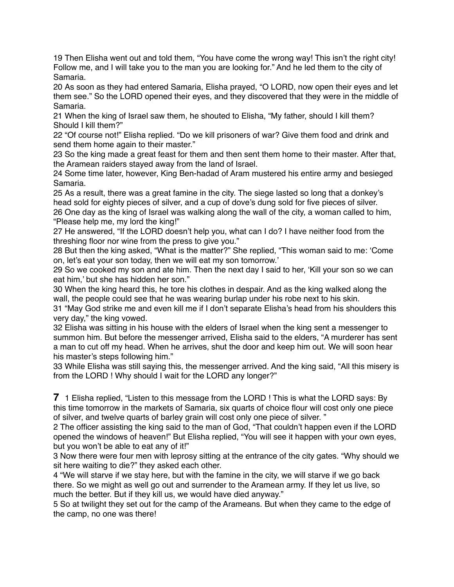19 Then Elisha went out and told them, "You have come the wrong way! This isn't the right city! Follow me, and I will take you to the man you are looking for." And he led them to the city of Samaria.

20 As soon as they had entered Samaria, Elisha prayed, "O LORD, now open their eyes and let them see." So the LORD opened their eyes, and they discovered that they were in the middle of Samaria.

21 When the king of Israel saw them, he shouted to Elisha, "My father, should I kill them? Should I kill them?"

22 "Of course not!" Elisha replied. "Do we kill prisoners of war? Give them food and drink and send them home again to their master."

23 So the king made a great feast for them and then sent them home to their master. After that, the Aramean raiders stayed away from the land of Israel.

24 Some time later, however, King Ben-hadad of Aram mustered his entire army and besieged Samaria.

25 As a result, there was a great famine in the city. The siege lasted so long that a donkey's head sold for eighty pieces of silver, and a cup of dove's dung sold for five pieces of silver.

26 One day as the king of Israel was walking along the wall of the city, a woman called to him, "Please help me, my lord the king!"

27 He answered, "If the LORD doesn't help you, what can I do? I have neither food from the threshing floor nor wine from the press to give you."

28 But then the king asked, "What is the matter?" She replied, "This woman said to me: 'Come on, let's eat your son today, then we will eat my son tomorrow.'

29 So we cooked my son and ate him. Then the next day I said to her, 'Kill your son so we can eat him,' but she has hidden her son."

30 When the king heard this, he tore his clothes in despair. And as the king walked along the wall, the people could see that he was wearing burlap under his robe next to his skin.

31 "May God strike me and even kill me if I don't separate Elisha's head from his shoulders this very day," the king vowed.

32 Elisha was sitting in his house with the elders of Israel when the king sent a messenger to summon him. But before the messenger arrived, Elisha said to the elders, "A murderer has sent a man to cut off my head. When he arrives, shut the door and keep him out. We will soon hear his master's steps following him."

33 While Elisha was still saying this, the messenger arrived. And the king said, "All this misery is from the LORD ! Why should I wait for the LORD any longer?"

**7** 1 Elisha replied, "Listen to this message from the LORD ! This is what the LORD says: By this time tomorrow in the markets of Samaria, six quarts of choice flour will cost only one piece of silver, and twelve quarts of barley grain will cost only one piece of silver. "

2 The officer assisting the king said to the man of God, "That couldn't happen even if the LORD opened the windows of heaven!" But Elisha replied, "You will see it happen with your own eyes, but you won't be able to eat any of it!"

3 Now there were four men with leprosy sitting at the entrance of the city gates. "Why should we sit here waiting to die?" they asked each other.

4 "We will starve if we stay here, but with the famine in the city, we will starve if we go back there. So we might as well go out and surrender to the Aramean army. If they let us live, so much the better. But if they kill us, we would have died anyway."

5 So at twilight they set out for the camp of the Arameans. But when they came to the edge of the camp, no one was there!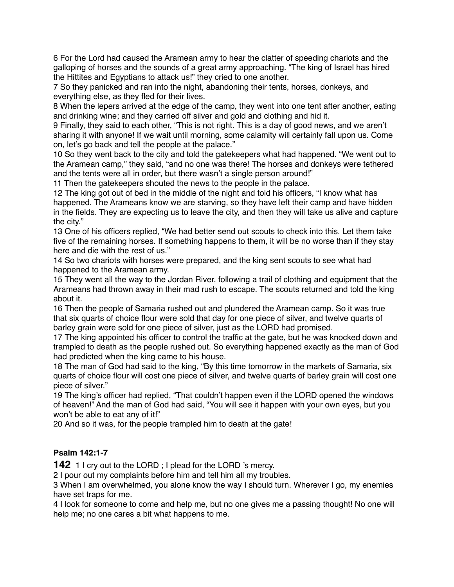6 For the Lord had caused the Aramean army to hear the clatter of speeding chariots and the galloping of horses and the sounds of a great army approaching. "The king of Israel has hired the Hittites and Egyptians to attack us!" they cried to one another.

7 So they panicked and ran into the night, abandoning their tents, horses, donkeys, and everything else, as they fled for their lives.

8 When the lepers arrived at the edge of the camp, they went into one tent after another, eating and drinking wine; and they carried off silver and gold and clothing and hid it.

9 Finally, they said to each other, "This is not right. This is a day of good news, and we aren't sharing it with anyone! If we wait until morning, some calamity will certainly fall upon us. Come on, let's go back and tell the people at the palace."

10 So they went back to the city and told the gatekeepers what had happened. "We went out to the Aramean camp," they said, "and no one was there! The horses and donkeys were tethered and the tents were all in order, but there wasn't a single person around!"

11 Then the gatekeepers shouted the news to the people in the palace.

12 The king got out of bed in the middle of the night and told his officers, "I know what has happened. The Arameans know we are starving, so they have left their camp and have hidden in the fields. They are expecting us to leave the city, and then they will take us alive and capture the city."

13 One of his officers replied, "We had better send out scouts to check into this. Let them take five of the remaining horses. If something happens to them, it will be no worse than if they stay here and die with the rest of us."

14 So two chariots with horses were prepared, and the king sent scouts to see what had happened to the Aramean army.

15 They went all the way to the Jordan River, following a trail of clothing and equipment that the Arameans had thrown away in their mad rush to escape. The scouts returned and told the king about it.

16 Then the people of Samaria rushed out and plundered the Aramean camp. So it was true that six quarts of choice flour were sold that day for one piece of silver, and twelve quarts of barley grain were sold for one piece of silver, just as the LORD had promised.

17 The king appointed his officer to control the traffic at the gate, but he was knocked down and trampled to death as the people rushed out. So everything happened exactly as the man of God had predicted when the king came to his house.

18 The man of God had said to the king, "By this time tomorrow in the markets of Samaria, six quarts of choice flour will cost one piece of silver, and twelve quarts of barley grain will cost one piece of silver."

19 The king's officer had replied, "That couldn't happen even if the LORD opened the windows of heaven!" And the man of God had said, "You will see it happen with your own eyes, but you won't be able to eat any of it!"

20 And so it was, for the people trampled him to death at the gate!

#### **Psalm 142:1-7**

**142** 1 I cry out to the LORD ; I plead for the LORD 's mercy.

2 I pour out my complaints before him and tell him all my troubles.

3 When I am overwhelmed, you alone know the way I should turn. Wherever I go, my enemies have set traps for me.

4 I look for someone to come and help me, but no one gives me a passing thought! No one will help me; no one cares a bit what happens to me.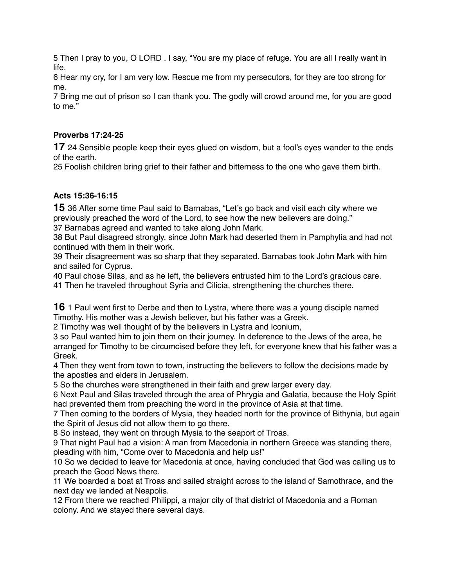5 Then I pray to you, O LORD . I say, "You are my place of refuge. You are all I really want in life.

6 Hear my cry, for I am very low. Rescue me from my persecutors, for they are too strong for me.

7 Bring me out of prison so I can thank you. The godly will crowd around me, for you are good to me."

## **Proverbs 17:24-25**

**17** 24 Sensible people keep their eyes glued on wisdom, but a fool's eyes wander to the ends of the earth.

25 Foolish children bring grief to their father and bitterness to the one who gave them birth.

# **Acts 15:36-16:15**

**15** 36 After some time Paul said to Barnabas, "Let's go back and visit each city where we previously preached the word of the Lord, to see how the new believers are doing." 37 Barnabas agreed and wanted to take along John Mark.

38 But Paul disagreed strongly, since John Mark had deserted them in Pamphylia and had not

continued with them in their work.

39 Their disagreement was so sharp that they separated. Barnabas took John Mark with him and sailed for Cyprus.

40 Paul chose Silas, and as he left, the believers entrusted him to the Lord's gracious care.

41 Then he traveled throughout Syria and Cilicia, strengthening the churches there.

**16** 1 Paul went first to Derbe and then to Lystra, where there was a young disciple named Timothy. His mother was a Jewish believer, but his father was a Greek.

2 Timothy was well thought of by the believers in Lystra and Iconium,

3 so Paul wanted him to join them on their journey. In deference to the Jews of the area, he arranged for Timothy to be circumcised before they left, for everyone knew that his father was a Greek.

4 Then they went from town to town, instructing the believers to follow the decisions made by the apostles and elders in Jerusalem.

5 So the churches were strengthened in their faith and grew larger every day.

6 Next Paul and Silas traveled through the area of Phrygia and Galatia, because the Holy Spirit had prevented them from preaching the word in the province of Asia at that time.

7 Then coming to the borders of Mysia, they headed north for the province of Bithynia, but again the Spirit of Jesus did not allow them to go there.

8 So instead, they went on through Mysia to the seaport of Troas.

9 That night Paul had a vision: A man from Macedonia in northern Greece was standing there, pleading with him, "Come over to Macedonia and help us!"

10 So we decided to leave for Macedonia at once, having concluded that God was calling us to preach the Good News there.

11 We boarded a boat at Troas and sailed straight across to the island of Samothrace, and the next day we landed at Neapolis.

12 From there we reached Philippi, a major city of that district of Macedonia and a Roman colony. And we stayed there several days.